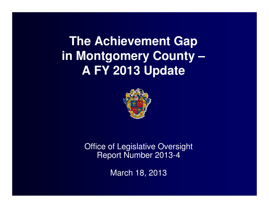**The Achievement Gap in Montgomery County –A FY 2013 Update**



Office of Legislative Oversight Report Number 2013-4

March 18, 2013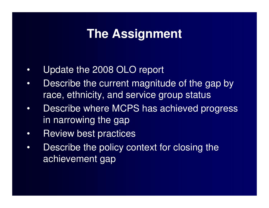## **The Assignment**

- •Update the 2008 OLO report
- • Describe the current magnitude of the gap by race, ethnicity, and service group status
- • Describe where MCPS has achieved progress in narrowing the gap
- •Review best practices
- • Describe the policy context for closing the achievement gap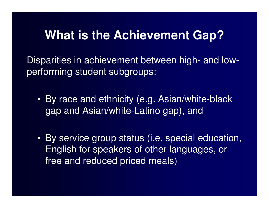## **What is the Achievement Gap?**

Disparities in achievement between high- and lowperforming student subgroups:

- By race and ethnicity (e.g. Asian/white-black gap and Asian/white-Latino gap), and
- By service group status (i.e. special education, English for speakers of other languages, or free and reduced priced meals)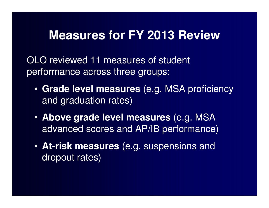## **Measures for FY 2013 Review**

OLO reviewed 11 measures of student performance across three groups:

- **Grade level measures** (e.g. MSA proficiency and graduation rates)
- **Above grade level measures** (e.g. MSA advanced scores and AP/IB performance)
- **At-risk measures** (e.g. suspensions and dropout rates)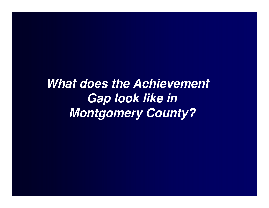**What does the Achievement Gap look like in Montgomery County?**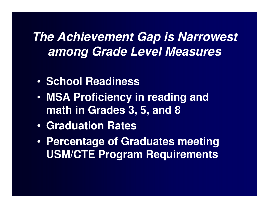## **The Achievement Gap is Narrowest among Grade Level Measures**

- •**• School Readiness**
- • **MSA Proficiency in reading and math in Grades 3, 5, and 8**
- •**Graduation Rates**
- • **Percentage of Graduates meeting USM/CTE Program Requirements**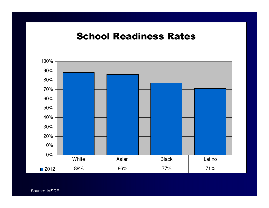### School Readiness Rates

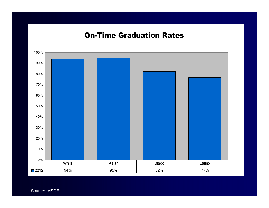#### On-Time Graduation Rates

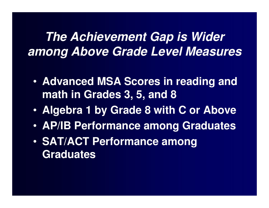# **The Achievement Gap is Wider among Above Grade Level Measures**

- • **Advanced MSA Scores in reading and math in Grades 3, 5, and 8**
- $\bullet$ **Algebra 1 by Grade 8 with C or Above**
- •**AP/IB Performance among Graduates**
- • **SAT/ACT Performance among Graduates**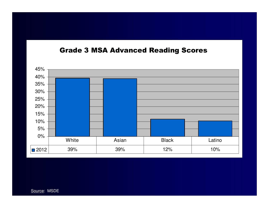#### Grade 3 MSA Advanced Reading Scores

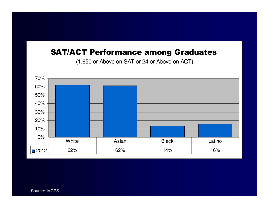### SAT/ACT Performance among Graduates

(1,650 or Above on SAT or 24 or Above on ACT)

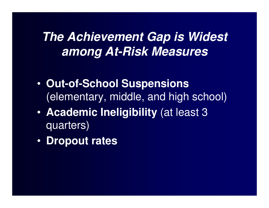# **The Achievement Gap is Widest among At-Risk Measures**

- • **Out-of-School Suspensions**  (elementary, middle, and high school)
- $\bullet$  **Academic Ineligibility** (at least 3 quarters)
- $\bullet$ **Dropout rates**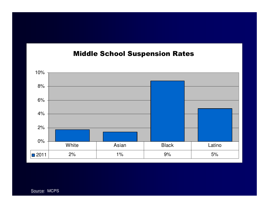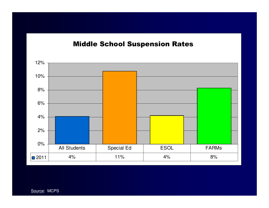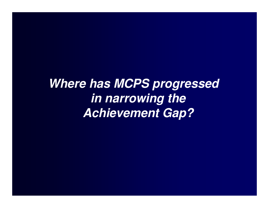**Where has MCPS progressed in narrowing the Achievement Gap?**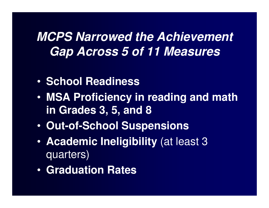# **MCPS Narrowed the Achievement Gap Across 5 of 11 Measures**

- •**• School Readiness**
- • **MSA Proficiency in reading and math in Grades 3, 5, and 8**
- •**Out-of-School Suspensions**
- • **Academic Ineligibility** (at least 3 quarters)
- •**Graduation Rates**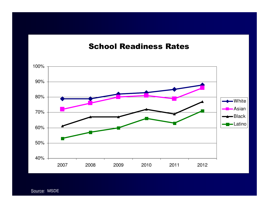#### School Readiness Rates

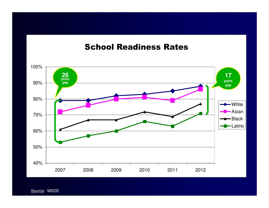### School Readiness Rates

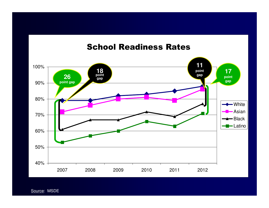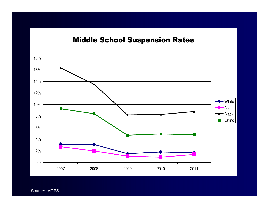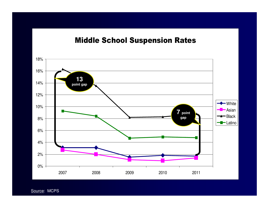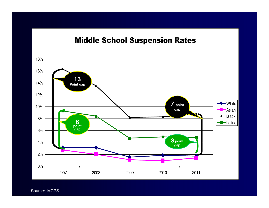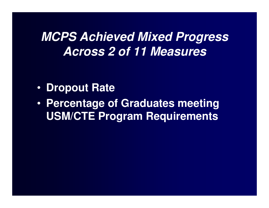## **MCPS Achieved Mixed Progress Across 2 of 11 Measures**

- •**Dropout Rate**
- • **Percentage of Graduates meeting USM/CTE Program Requirements**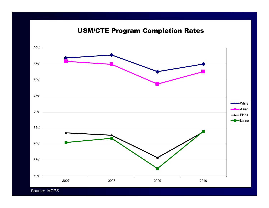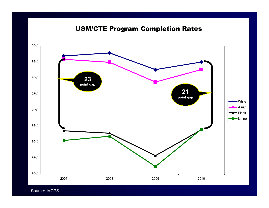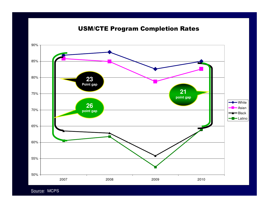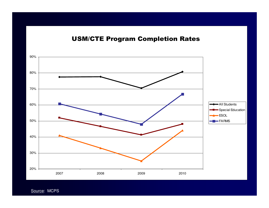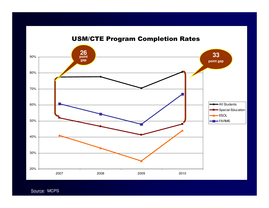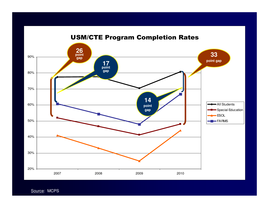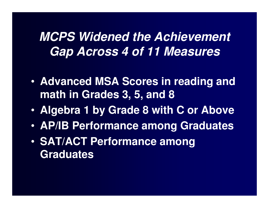## **MCPS Widened the Achievement Gap Across 4 of 11 Measures**

- • **Advanced MSA Scores in reading and math in Grades 3, 5, and 8**
- $\bullet$ **Algebra 1 by Grade 8 with C or Above**
- •**AP/IB Performance among Graduates**
- • **SAT/ACT Performance among Graduates**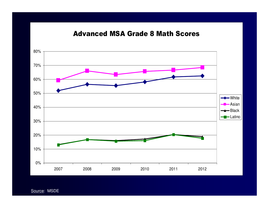#### Advanced MSA Grade 8 Math Scores

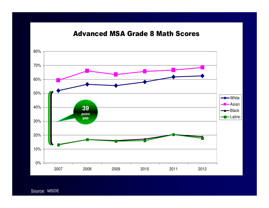#### Advanced MSA Grade 8 Math Scores

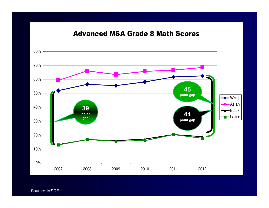#### Advanced MSA Grade 8 Math Scores

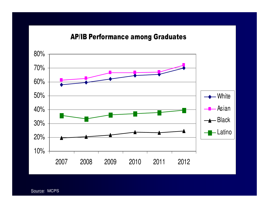#### AP/IB Performance among Graduates

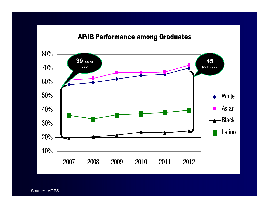#### AP/IB Performance among Graduates

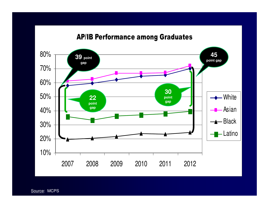#### AP/IB Performance among Graduates

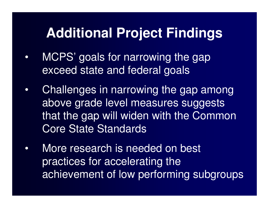# **Additional Project Findings**

- • MCPS' goals for narrowing the gap exceed state and federal goals
- • Challenges in narrowing the gap among above grade level measures suggests that the gap will widen with the Common Core State Standards
- $\bullet$  More research is needed on best practices for accelerating the achievement of low performing subgroups